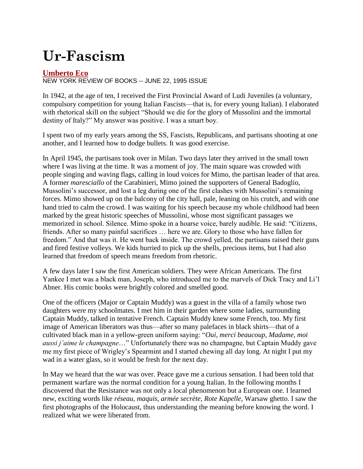# **Ur-Fascism**

## **[Umberto Eco](http://www.nybooks.com/contributors/umberto-eco/)**

NEW YORK REVIEW OF BOOKS -- JUNE 22, 1995 ISSUE

In 1942, at the age of ten, I received the First Provincial Award of Ludi Juveniles (a voluntary, compulsory competition for young Italian Fascists—that is, for every young Italian). I elaborated with rhetorical skill on the subject "Should we die for the glory of Mussolini and the immortal destiny of Italy?" My answer was positive. I was a smart boy.

I spent two of my early years among the SS, Fascists, Republicans, and partisans shooting at one another, and I learned how to dodge bullets. It was good exercise.

In April 1945, the partisans took over in Milan. Two days later they arrived in the small town where I was living at the time. It was a moment of joy. The main square was crowded with people singing and waving flags, calling in loud voices for Mimo, the partisan leader of that area. A former *maresciallo* of the Carabinieri, Mimo joined the supporters of General Badoglio, Mussolini's successor, and lost a leg during one of the first clashes with Mussolini's remaining forces. Mimo showed up on the balcony of the city hall, pale, leaning on his crutch, and with one hand tried to calm the crowd. I was waiting for his speech because my whole childhood had been marked by the great historic speeches of Mussolini, whose most significant passages we memorized in school. Silence. Mimo spoke in a hoarse voice, barely audible. He said: "Citizens, friends. After so many painful sacrifices … here we are. Glory to those who have fallen for freedom." And that was it. He went back inside. The crowd yelled, the partisans raised their guns and fired festive volleys. We kids hurried to pick up the shells, precious items, but I had also learned that freedom of speech means freedom from rhetoric.

A few days later I saw the first American soldiers. They were African Americans. The first Yankee I met was a black man, Joseph, who introduced me to the marvels of Dick Tracy and Li'l Abner. His comic books were brightly colored and smelled good.

One of the officers (Major or Captain Muddy) was a guest in the villa of a family whose two daughters were my schoolmates. I met him in their garden where some ladies, surrounding Captain Muddy, talked in tentative French. Captain Muddy knew some French, too. My first image of American liberators was thus—after so many palefaces in black shirts—that of a cultivated black man in a yellow-green uniform saying: "*Oui, merci beaucoup, Madame, moi aussi j'aime le champagne*…" Unfortunately there was no champagne, but Captain Muddy gave me my first piece of Wrigley's Spearmint and I started chewing all day long. At night I put my wad in a water glass, so it would be fresh for the next day.

In May we heard that the war was over. Peace gave me a curious sensation. I had been told that permanent warfare was the normal condition for a young Italian. In the following months I discovered that the Resistance was not only a local phenomenon but a European one. I learned new, exciting words like *réseau, maquis, armée secrète, Rote Kapelle*, Warsaw ghetto. I saw the first photographs of the Holocaust, thus understanding the meaning before knowing the word. I realized what we were liberated from.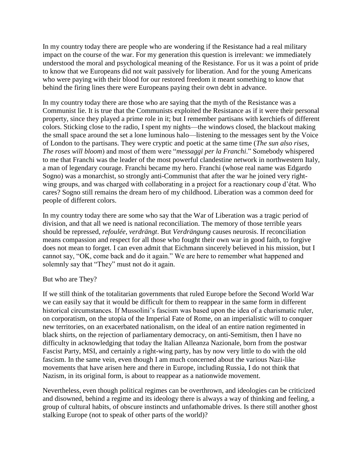In my country today there are people who are wondering if the Resistance had a real military impact on the course of the war. For my generation this question is irrelevant: we immediately understood the moral and psychological meaning of the Resistance. For us it was a point of pride to know that we Europeans did not wait passively for liberation. And for the young Americans who were paying with their blood for our restored freedom it meant something to know that behind the firing lines there were Europeans paying their own debt in advance.

In my country today there are those who are saying that the myth of the Resistance was a Communist lie. It is true that the Communists exploited the Resistance as if it were their personal property, since they played a prime role in it; but I remember partisans with kerchiefs of different colors. Sticking close to the radio, I spent my nights—the windows closed, the blackout making the small space around the set a lone luminous halo—listening to the messages sent by the Voice of London to the partisans. They were cryptic and poetic at the same time (*The sun also rises, The roses will bloom*) and most of them were "*messaggi per la Franchi*." Somebody whispered to me that Franchi was the leader of the most powerful clandestine network in northwestern Italy, a man of legendary courage. Franchi became my hero. Franchi (whose real name was Edgardo Sogno) was a monarchist, so strongly anti-Communist that after the war he joined very rightwing groups, and was charged with collaborating in a project for a reactionary coup d'état. Who cares? Sogno still remains the dream hero of my childhood. Liberation was a common deed for people of different colors.

In my country today there are some who say that the War of Liberation was a tragic period of division, and that all we need is national reconciliation. The memory of those terrible years should be repressed, *refoulée, verdrängt*. But *Verdrängung* causes neurosis. If reconciliation means compassion and respect for all those who fought their own war in good faith, to forgive does not mean to forget. I can even admit that Eichmann sincerely believed in his mission, but I cannot say, "OK, come back and do it again." We are here to remember what happened and solemnly say that "They" must not do it again.

#### But who are They?

If we still think of the totalitarian governments that ruled Europe before the Second World War we can easily say that it would be difficult for them to reappear in the same form in different historical circumstances. If Mussolini's fascism was based upon the idea of a charismatic ruler, on corporatism, on the utopia of the Imperial Fate of Rome, on an imperialistic will to conquer new territories, on an exacerbated nationalism, on the ideal of an entire nation regimented in black shirts, on the rejection of parliamentary democracy, on anti-Semitism, then I have no difficulty in acknowledging that today the Italian Alleanza Nazionale, born from the postwar Fascist Party, MSI, and certainly a right-wing party, has by now very little to do with the old fascism. In the same vein, even though I am much concerned about the various Nazi-like movements that have arisen here and there in Europe, including Russia, I do not think that Nazism, in its original form, is about to reappear as a nationwide movement.

Nevertheless, even though political regimes can be overthrown, and ideologies can be criticized and disowned, behind a regime and its ideology there is always a way of thinking and feeling, a group of cultural habits, of obscure instincts and unfathomable drives. Is there still another ghost stalking Europe (not to speak of other parts of the world)?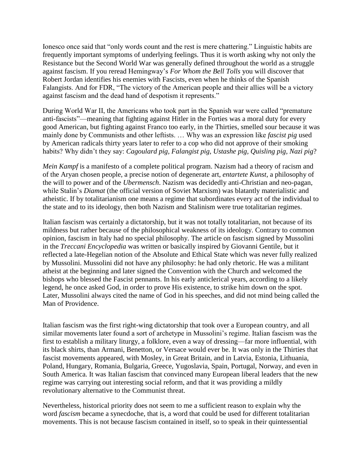Ionesco once said that "only words count and the rest is mere chattering." Linguistic habits are frequently important symptoms of underlying feelings. Thus it is worth asking why not only the Resistance but the Second World War was generally defined throughout the world as a struggle against fascism. If you reread Hemingway's *For Whom the Bell Tolls* you will discover that Robert Jordan identifies his enemies with Fascists, even when he thinks of the Spanish Falangists. And for FDR, "The victory of the American people and their allies will be a victory against fascism and the dead hand of despotism it represents."

During World War II, the Americans who took part in the Spanish war were called "premature anti-fascists"—meaning that fighting against Hitler in the Forties was a moral duty for every good American, but fighting against Franco too early, in the Thirties, smelled sour because it was mainly done by Communists and other leftists. … Why was an expression like *fascist pig* used by American radicals thirty years later to refer to a cop who did not approve of their smoking habits? Why didn't they say: *Cagoulard pig, Falangist pig, Ustashe pig, Quisling pig, Nazi pig*?

*Mein Kampf* is a manifesto of a complete political program. Nazism had a theory of racism and of the Aryan chosen people, a precise notion of degenerate art, *entartete Kunst*, a philosophy of the will to power and of the *Ubermensch*. Nazism was decidedly anti-Christian and neo-pagan, while Stalin's *Diamat* (the official version of Soviet Marxism) was blatantly materialistic and atheistic. If by totalitarianism one means a regime that subordinates every act of the individual to the state and to its ideology, then both Nazism and Stalinism were true totalitarian regimes.

Italian fascism was certainly a dictatorship, but it was not totally totalitarian, not because of its mildness but rather because of the philosophical weakness of its ideology. Contrary to common opinion, fascism in Italy had no special philosophy. The article on fascism signed by Mussolini in the *Treccani Encyclopedia* was written or basically inspired by Giovanni Gentile, but it reflected a late-Hegelian notion of the Absolute and Ethical State which was never fully realized by Mussolini. Mussolini did not have any philosophy: he had only rhetoric. He was a militant atheist at the beginning and later signed the Convention with the Church and welcomed the bishops who blessed the Fascist pennants. In his early anticlerical years, according to a likely legend, he once asked God, in order to prove His existence, to strike him down on the spot. Later, Mussolini always cited the name of God in his speeches, and did not mind being called the Man of Providence.

Italian fascism was the first right-wing dictatorship that took over a European country, and all similar movements later found a sort of archetype in Mussolini's regime. Italian fascism was the first to establish a military liturgy, a folklore, even a way of dressing—far more influential, with its black shirts, than Armani, Benetton, or Versace would ever be. It was only in the Thirties that fascist movements appeared, with Mosley, in Great Britain, and in Latvia, Estonia, Lithuania, Poland, Hungary, Romania, Bulgaria, Greece, Yugoslavia, Spain, Portugal, Norway, and even in South America. It was Italian fascism that convinced many European liberal leaders that the new regime was carrying out interesting social reform, and that it was providing a mildly revolutionary alternative to the Communist threat.

Nevertheless, historical priority does not seem to me a sufficient reason to explain why the word *fascism* became a synecdoche, that is, a word that could be used for different totalitarian movements. This is not because fascism contained in itself, so to speak in their quintessential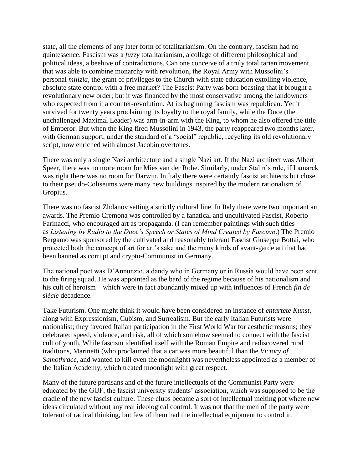state, all the elements of any later form of totalitarianism. On the contrary, fascism had no quintessence. Fascism was a *fuzzy* totalitarianism, a collage of different philosophical and political ideas, a beehive of contradictions. Can one conceive of a truly totalitarian movement that was able to combine monarchy with revolution, the Royal Army with Mussolini's personal *milizia*, the grant of privileges to the Church with state education extolling violence, absolute state control with a free market? The Fascist Party was born boasting that it brought a revolutionary new order; but it was financed by the most conservative among the landowners who expected from it a counter-revolution. At its beginning fascism was republican. Yet it survived for twenty years proclaiming its loyalty to the royal family, while the Duce (the unchallenged Maximal Leader) was arm-in-arm with the King, to whom he also offered the title of Emperor. But when the King fired Mussolini in 1943, the party reappeared two months later, with German support, under the standard of a "social" republic, recycling its old revolutionary script, now enriched with almost Jacobin overtones.

There was only a single Nazi architecture and a single Nazi art. If the Nazi architect was Albert Speer, there was no more room for Mies van der Rohe. Similarly, under Stalin's rule, if Lamarck was right there was no room for Darwin. In Italy there were certainly fascist architects but close to their pseudo-Coliseums were many new buildings inspired by the modern rationalism of Gropius.

There was no fascist Zhdanov setting a strictly cultural line. In Italy there were two important art awards. The Premio Cremona was controlled by a fanatical and uncultivated Fascist, Roberto Farinacci, who encouraged art as propaganda. (I can remember paintings with such titles as *Listening by Radio to the Duce's Speech or States of Mind Created by Fascism*.) The Premio Bergamo was sponsored by the cultivated and reasonably tolerant Fascist Giuseppe Bottai, who protected both the concept of art for art's sake and the many kinds of avant-garde art that had been banned as corrupt and crypto-Communist in Germany.

The national poet was D'Annunzio, a dandy who in Germany or in Russia would have been sent to the firing squad. He was appointed as the bard of the regime because of his nationalism and his cult of heroism—which were in fact abundantly mixed up with influences of French *fin de siècle* decadence.

Take Futurism. One might think it would have been considered an instance of *entartete Kunst*, along with Expressionism, Cubism, and Surrealism. But the early Italian Futurists were nationalist; they favored Italian participation in the First World War for aesthetic reasons; they celebrated speed, violence, and risk, all of which somehow seemed to connect with the fascist cult of youth. While fascism identified itself with the Roman Empire and rediscovered rural traditions, Marinetti (who proclaimed that a car was more beautiful than the *Victory of Samothrace*, and wanted to kill even the moonlight) was nevertheless appointed as a member of the Italian Academy, which treated moonlight with great respect.

Many of the future partisans and of the future intellectuals of the Communist Party were educated by the GUF, the fascist university students' association, which was supposed to be the cradle of the new fascist culture. These clubs became a sort of intellectual melting pot where new ideas circulated without any real ideological control. It was not that the men of the party were tolerant of radical thinking, but few of them had the intellectual equipment to control it.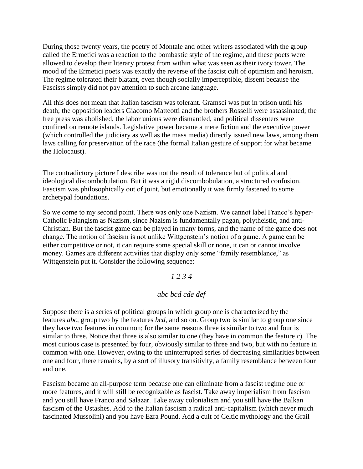During those twenty years, the poetry of Montale and other writers associated with the group called the Ermetici was a reaction to the bombastic style of the regime, and these poets were allowed to develop their literary protest from within what was seen as their ivory tower. The mood of the Ermetici poets was exactly the reverse of the fascist cult of optimism and heroism. The regime tolerated their blatant, even though socially imperceptible, dissent because the Fascists simply did not pay attention to such arcane language.

All this does not mean that Italian fascism was tolerant. Gramsci was put in prison until his death; the opposition leaders Giacomo Matteotti and the brothers Rosselli were assassinated; the free press was abolished, the labor unions were dismantled, and political dissenters were confined on remote islands. Legislative power became a mere fiction and the executive power (which controlled the judiciary as well as the mass media) directly issued new laws, among them laws calling for preservation of the race (the formal Italian gesture of support for what became the Holocaust).

The contradictory picture I describe was not the result of tolerance but of political and ideological discombobulation. But it was a rigid discombobulation, a structured confusion. Fascism was philosophically out of joint, but emotionally it was firmly fastened to some archetypal foundations.

So we come to my second point. There was only one Nazism. We cannot label Franco's hyper-Catholic Falangism as Nazism, since Nazism is fundamentally pagan, polytheistic, and anti-Christian. But the fascist game can be played in many forms, and the name of the game does not change. The notion of fascism is not unlike Wittgenstein's notion of a game. A game can be either competitive or not, it can require some special skill or none, it can or cannot involve money. Games are different activities that display only some "family resemblance," as Wittgenstein put it. Consider the following sequence:

#### *1 2 3 4*

### *abc bcd cde def*

Suppose there is a series of political groups in which group one is characterized by the features *abc*, group two by the features *bcd*, and so on. Group two is similar to group one since they have two features in common; for the same reasons three is similar to two and four is similar to three. Notice that three is also similar to one (they have in common the feature *c*). The most curious case is presented by four, obviously similar to three and two, but with no feature in common with one. However, owing to the uninterrupted series of decreasing similarities between one and four, there remains, by a sort of illusory transitivity, a family resemblance between four and one.

Fascism became an all-purpose term because one can eliminate from a fascist regime one or more features, and it will still be recognizable as fascist. Take away imperialism from fascism and you still have Franco and Salazar. Take away colonialism and you still have the Balkan fascism of the Ustashes. Add to the Italian fascism a radical anti-capitalism (which never much fascinated Mussolini) and you have Ezra Pound. Add a cult of Celtic mythology and the Grail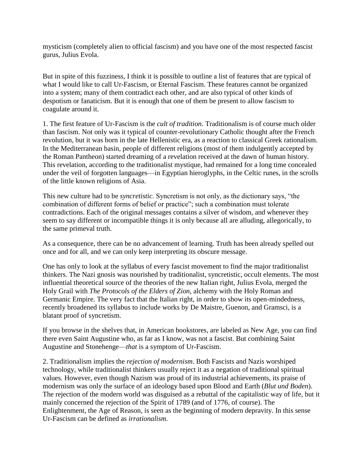mysticism (completely alien to official fascism) and you have one of the most respected fascist gurus, Julius Evola.

But in spite of this fuzziness, I think it is possible to outline a list of features that are typical of what I would like to call Ur-Fascism, or Eternal Fascism. These features cannot be organized into a system; many of them contradict each other, and are also typical of other kinds of despotism or fanaticism. But it is enough that one of them be present to allow fascism to coagulate around it.

1. The first feature of Ur-Fascism is the *cult of tradition*. Traditionalism is of course much older than fascism. Not only was it typical of counter-revolutionary Catholic thought after the French revolution, but it was born in the late Hellenistic era, as a reaction to classical Greek rationalism. In the Mediterranean basin, people of different religions (most of them indulgently accepted by the Roman Pantheon) started dreaming of a revelation received at the dawn of human history. This revelation, according to the traditionalist mystique, had remained for a long time concealed under the veil of forgotten languages—in Egyptian hieroglyphs, in the Celtic runes, in the scrolls of the little known religions of Asia.

This new culture had to be *syncretistic*. Syncretism is not only, as the dictionary says, "the combination of different forms of belief or practice"; such a combination must tolerate contradictions. Each of the original messages contains a silver of wisdom, and whenever they seem to say different or incompatible things it is only because all are alluding, allegorically, to the same primeval truth.

As a consequence, there can be no advancement of learning. Truth has been already spelled out once and for all, and we can only keep interpreting its obscure message.

One has only to look at the syllabus of every fascist movement to find the major traditionalist thinkers. The Nazi gnosis was nourished by traditionalist, syncretistic, occult elements. The most influential theoretical source of the theories of the new Italian right, Julius Evola, merged the Holy Grail with *The Protocols of the Elders of Zion*, alchemy with the Holy Roman and Germanic Empire. The very fact that the Italian right, in order to show its open-mindedness, recently broadened its syllabus to include works by De Maistre, Guenon, and Gramsci, is a blatant proof of syncretism.

If you browse in the shelves that, in American bookstores, are labeled as New Age, you can find there even Saint Augustine who, as far as I know, was not a fascist. But combining Saint Augustine and Stonehenge—*that* is a symptom of Ur-Fascism.

2. Traditionalism implies the *rejection of modernism*. Both Fascists and Nazis worshiped technology, while traditionalist thinkers usually reject it as a negation of traditional spiritual values. However, even though Nazism was proud of its industrial achievements, its praise of modernism was only the surface of an ideology based upon Blood and Earth (*Blut und Boden*). The rejection of the modern world was disguised as a rebuttal of the capitalistic way of life, but it mainly concerned the rejection of the Spirit of 1789 (and of 1776, of course). The Enlightenment, the Age of Reason, is seen as the beginning of modern depravity. In this sense Ur-Fascism can be defined as *irrationalism*.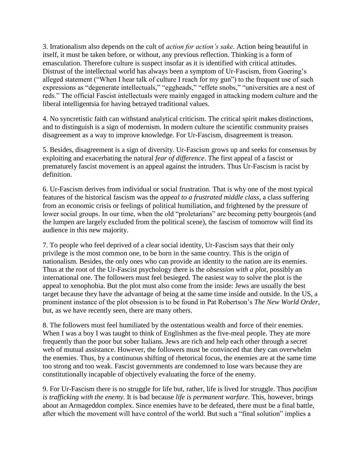3. Irrationalism also depends on the cult of *action for action's sake*. Action being beautiful in itself, it must be taken before, or without, any previous reflection. Thinking is a form of emasculation. Therefore culture is suspect insofar as it is identified with critical attitudes. Distrust of the intellectual world has always been a symptom of Ur-Fascism, from Goering's alleged statement ("When I hear talk of culture I reach for my gun") to the frequent use of such expressions as "degenerate intellectuals," "eggheads," "effete snobs," "universities are a nest of reds." The official Fascist intellectuals were mainly engaged in attacking modern culture and the liberal intelligentsia for having betrayed traditional values.

4. No syncretistic faith can withstand analytical criticism. The critical spirit makes distinctions, and to distinguish is a sign of modernism. In modern culture the scientific community praises disagreement as a way to improve knowledge. For Ur-Fascism, disagreement is treason.

5. Besides, disagreement is a sign of diversity. Ur-Fascism grows up and seeks for consensus by exploiting and exacerbating the natural *fear of difference*. The first appeal of a fascist or prematurely fascist movement is an appeal against the intruders. Thus Ur-Fascism is racist by definition.

6. Ur-Fascism derives from individual or social frustration. That is why one of the most typical features of the historical fascism was the *appeal to a frustrated middle class*, a class suffering from an economic crisis or feelings of political humiliation, and frightened by the pressure of lower social groups. In our time, when the old "proletarians" are becoming petty bourgeois (and the lumpen are largely excluded from the political scene), the fascism of tomorrow will find its audience in this new majority.

7. To people who feel deprived of a clear social identity, Ur-Fascism says that their only privilege is the most common one, to be born in the same country. This is the origin of nationalism. Besides, the only ones who can provide an identity to the nation are its enemies. Thus at the root of the Ur-Fascist psychology there is the *obsession with a plot*, possibly an international one. The followers must feel besieged. The easiest way to solve the plot is the appeal to xenophobia. But the plot must also come from the inside: Jews are usually the best target because they have the advantage of being at the same time inside and outside. In the US, a prominent instance of the plot obsession is to be found in Pat Robertson's *The New World Order*, but, as we have recently seen, there are many others.

8. The followers must feel humiliated by the ostentatious wealth and force of their enemies. When I was a boy I was taught to think of Englishmen as the five-meal people. They ate more frequently than the poor but sober Italians. Jews are rich and help each other through a secret web of mutual assistance. However, the followers must be convinced that they can overwhelm the enemies. Thus, by a continuous shifting of rhetorical focus, the enemies are at the same time too strong and too weak. Fascist governments are condemned to lose wars because they are constitutionally incapable of objectively evaluating the force of the enemy.

9. For Ur-Fascism there is no struggle for life but, rather, life is lived for struggle. Thus *pacifism is trafficking with the enemy*. It is bad because *life is permanent warfare*. This, however, brings about an Armageddon complex. Since enemies have to be defeated, there must be a final battle, after which the movement will have control of the world. But such a "final solution" implies a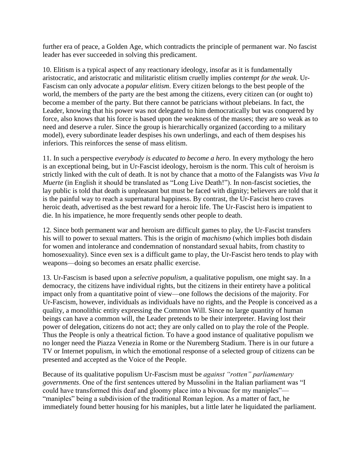further era of peace, a Golden Age, which contradicts the principle of permanent war. No fascist leader has ever succeeded in solving this predicament.

10. Elitism is a typical aspect of any reactionary ideology, insofar as it is fundamentally aristocratic, and aristocratic and militaristic elitism cruelly implies *contempt for the weak*. Ur-Fascism can only advocate a *popular elitism*. Every citizen belongs to the best people of the world, the members of the party are the best among the citizens, every citizen can (or ought to) become a member of the party. But there cannot be patricians without plebeians. In fact, the Leader, knowing that his power was not delegated to him democratically but was conquered by force, also knows that his force is based upon the weakness of the masses; they are so weak as to need and deserve a ruler. Since the group is hierarchically organized (according to a military model), every subordinate leader despises his own underlings, and each of them despises his inferiors. This reinforces the sense of mass elitism.

11. In such a perspective *everybody is educated to become a hero*. In every mythology the hero is an exceptional being, but in Ur-Fascist ideology, heroism is the norm. This cult of heroism is strictly linked with the cult of death. It is not by chance that a motto of the Falangists was *Viva la Muerte* (in English it should be translated as "Long Live Death!"). In non-fascist societies, the lay public is told that death is unpleasant but must be faced with dignity; believers are told that it is the painful way to reach a supernatural happiness. By contrast, the Ur-Fascist hero craves heroic death, advertised as the best reward for a heroic life. The Ur-Fascist hero is impatient to die. In his impatience, he more frequently sends other people to death.

12. Since both permanent war and heroism are difficult games to play, the Ur-Fascist transfers his will to power to sexual matters. This is the origin of *machismo* (which implies both disdain for women and intolerance and condemnation of nonstandard sexual habits, from chastity to homosexuality). Since even sex is a difficult game to play, the Ur-Fascist hero tends to play with weapons—doing so becomes an ersatz phallic exercise.

13. Ur-Fascism is based upon a *selective populism*, a qualitative populism, one might say. In a democracy, the citizens have individual rights, but the citizens in their entirety have a political impact only from a quantitative point of view—one follows the decisions of the majority. For Ur-Fascism, however, individuals as individuals have no rights, and the People is conceived as a quality, a monolithic entity expressing the Common Will. Since no large quantity of human beings can have a common will, the Leader pretends to be their interpreter. Having lost their power of delegation, citizens do not act; they are only called on to play the role of the People. Thus the People is only a theatrical fiction. To have a good instance of qualitative populism we no longer need the Piazza Venezia in Rome or the Nuremberg Stadium. There is in our future a TV or Internet populism, in which the emotional response of a selected group of citizens can be presented and accepted as the Voice of the People.

Because of its qualitative populism Ur-Fascism must be *against "rotten" parliamentary governments*. One of the first sentences uttered by Mussolini in the Italian parliament was "I could have transformed this deaf and gloomy place into a bivouac for my maniples"— "maniples" being a subdivision of the traditional Roman legion. As a matter of fact, he immediately found better housing for his maniples, but a little later he liquidated the parliament.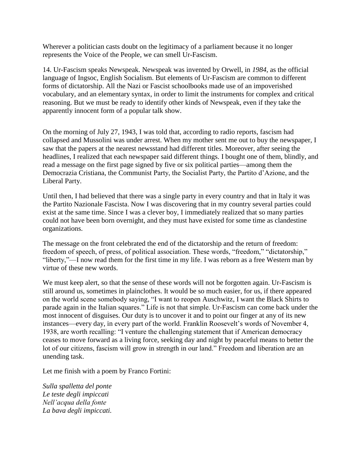Wherever a politician casts doubt on the legitimacy of a parliament because it no longer represents the Voice of the People, we can smell Ur-Fascism.

14. Ur-Fascism speaks Newspeak. Newspeak was invented by Orwell, in *1984*, as the official language of Ingsoc, English Socialism. But elements of Ur-Fascism are common to different forms of dictatorship. All the Nazi or Fascist schoolbooks made use of an impoverished vocabulary, and an elementary syntax, in order to limit the instruments for complex and critical reasoning. But we must be ready to identify other kinds of Newspeak, even if they take the apparently innocent form of a popular talk show.

On the morning of July 27, 1943, I was told that, according to radio reports, fascism had collapsed and Mussolini was under arrest. When my mother sent me out to buy the newspaper, I saw that the papers at the nearest newsstand had different titles. Moreover, after seeing the headlines, I realized that each newspaper said different things. I bought one of them, blindly, and read a message on the first page signed by five or six political parties—among them the Democrazia Cristiana, the Communist Party, the Socialist Party, the Partito d'Azione, and the Liberal Party.

Until then, I had believed that there was a single party in every country and that in Italy it was the Partito Nazionale Fascista. Now I was discovering that in my country several parties could exist at the same time. Since I was a clever boy, I immediately realized that so many parties could not have been born overnight, and they must have existed for some time as clandestine organizations.

The message on the front celebrated the end of the dictatorship and the return of freedom: freedom of speech, of press, of political association. These words, "freedom," "dictatorship," "liberty,"—I now read them for the first time in my life. I was reborn as a free Western man by virtue of these new words.

We must keep alert, so that the sense of these words will not be forgotten again. Ur-Fascism is still around us, sometimes in plainclothes. It would be so much easier, for us, if there appeared on the world scene somebody saying, "I want to reopen Auschwitz, I want the Black Shirts to parade again in the Italian squares." Life is not that simple. Ur-Fascism can come back under the most innocent of disguises. Our duty is to uncover it and to point our finger at any of its new instances—every day, in every part of the world. Franklin Roosevelt's words of November 4, 1938, are worth recalling: "I venture the challenging statement that if American democracy ceases to move forward as a living force, seeking day and night by peaceful means to better the lot of our citizens, fascism will grow in strength in our land." Freedom and liberation are an unending task.

Let me finish with a poem by Franco Fortini:

*Sulla spalletta del ponte Le teste degli impiccati Nell'acqua della fonte La bava degli impiccati.*